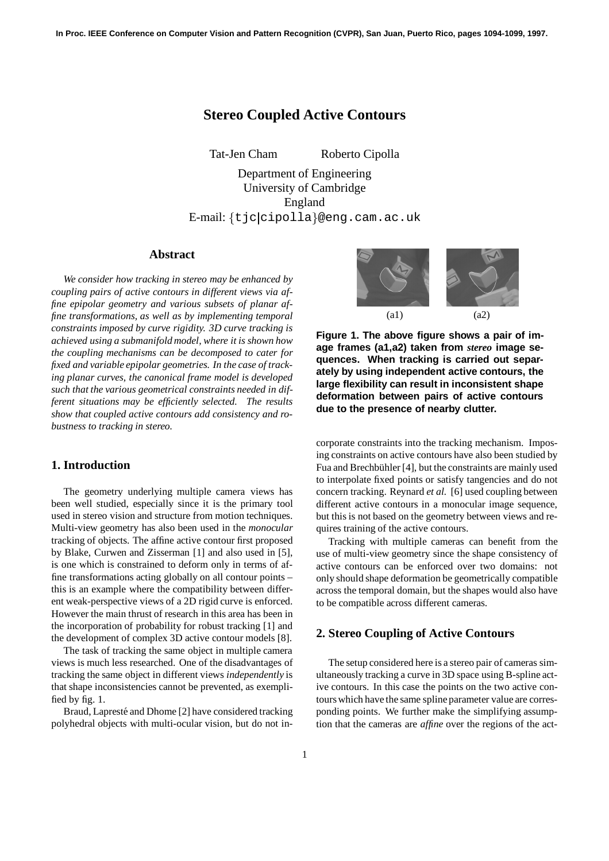# **Stereo Coupled Active Contours**

Tat-Jen Cham Roberto Cipolla

Department of Engineering University of Cambridge England E-mail: {tjc|cipolla}@eng.cam.ac.uk

## **Abstract**

*We consider how tracking in stereo may be enhanced by coupling pairs of active contours in different views via affine epipolar geometry and various subsets of planar affine transformations, as well as by implementing temporal constraints imposed by curve rigidity. 3D curve tracking is achieved using a submanifold model, where it is shown how the coupling mechanisms can be decomposed to cater for fixed and variable epipolar geometries. In the case of tracking planar curves, the canonical frame model is developed such that the various geometrical constraints needed in different situations may be efficiently selected. The results show that coupled active contours add consistency and robustness to tracking in stereo.*

# **1. Introduction**

The geometry underlying multiple camera views has been well studied, especially since it is the primary tool used in stereo vision and structure from motion techniques. Multi-view geometry has also been used in the *monocular* tracking of objects. The affine active contour first proposed by Blake, Curwen and Zisserman [1] and also used in [5], is one which is constrained to deform only in terms of affine transformations acting globally on all contour points – this is an example where the compatibility between different weak-perspective views of a 2D rigid curve is enforced. However the main thrust of research in this area has been in the incorporation of probability for robust tracking [1] and the development of complex 3D active contour models [8].

The task of tracking the same object in multiple camera views is much less researched. One of the disadvantages of tracking the same object in different views *independently* is that shape inconsistencies cannot be prevented, as exemplified by fig. 1.

Braud, Lapresté and Dhome [2] have considered tracking polyhedral objects with multi-ocular vision, but do not in-



**Figure 1. The above figure shows a pair of image frames (a1,a2) taken from** *stereo* **image sequences. When tracking is carried out separately by using independent active contours, the large flexibility can result in inconsistent shape deformation between pairs of active contours due to the presence of nearby clutter.**

corporate constraints into the tracking mechanism. Imposing constraints on active contours have also been studied by Fua and Brechbühler [4], but the constraints are mainly used to interpolate fixed points or satisfy tangencies and do not concern tracking. Reynard *et al.* [6] used coupling between different active contours in a monocular image sequence, but this is not based on the geometry between views and requires training of the active contours.

Tracking with multiple cameras can benefit from the use of multi-view geometry since the shape consistency of active contours can be enforced over two domains: not only should shape deformation be geometrically compatible across the temporal domain, but the shapes would also have to be compatible across different cameras.

## **2. Stereo Coupling of Active Contours**

The setup considered here is a stereo pair of cameras simultaneously tracking a curve in 3D space using B-spline active contours. In this case the points on the two active contours which have the same spline parameter value are corresponding points. We further make the simplifying assumption that the cameras are *affine* over the regions of the act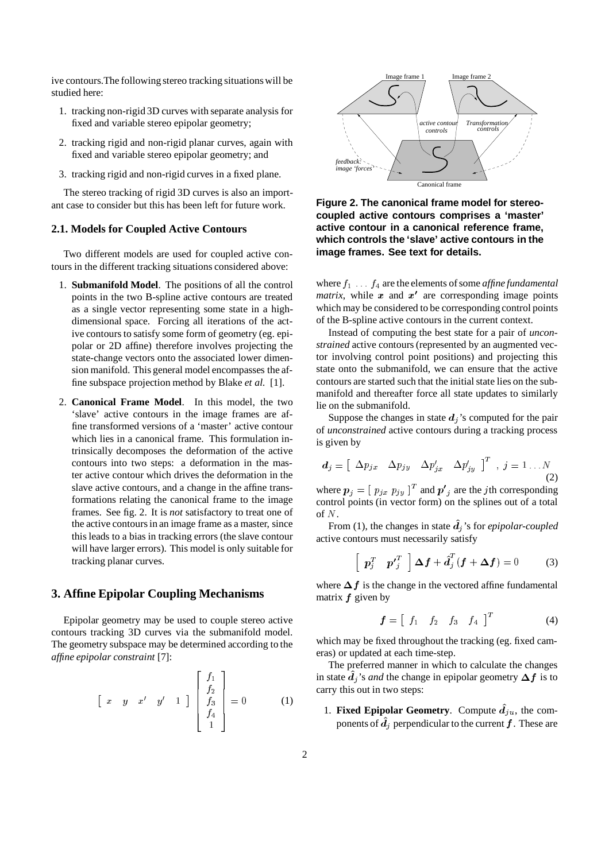ive contours.The following stereo tracking situations will be studied here:

- 1. tracking non-rigid 3D curves with separate analysis for fixed and variable stereo epipolar geometry;
- 2. tracking rigid and non-rigid planar curves, again with fixed and variable stereo epipolar geometry; and
- 3. tracking rigid and non-rigid curves in a fixed plane.

The stereo tracking of rigid 3D curves is also an important case to consider but this has been left for future work.

#### **2.1. Models for Coupled Active Contours**

Two different models are used for coupled active contours in the different tracking situations considered above:

- 1. **Submanifold Model**. The positions of all the control points in the two B-spline active contours are treated as a single vector representing some state in a highdimensional space. Forcing all iterations of the active contours to satisfy some form of geometry (eg. epipolar or 2D affine) therefore involves projecting the state-change vectors onto the associated lower dimension manifold. This general model encompasses the affine subspace projection method by Blake *et al.* [1].
- 2. **Canonical Frame Model**. In this model, the two 'slave' active contours in the image frames are affine transformed versions of a 'master' active contour which lies in a canonical frame. This formulation intrinsically decomposes the deformation of the active contours into two steps: a deformation in the master active contour which drives the deformation in the slave active contours, and a change in the affine transformations relating the canonical frame to the image frames. See fig. 2. It is *not* satisfactory to treat one of the active contoursin an image frame as a master, since this leads to a bias in tracking errors (the slave contour will have larger errors). This model is only suitable for tracking planar curves.

#### **3. Affine Epipolar Coupling Mechanisms**

Epipolar geometry may be used to couple stereo active contours tracking 3D curves via the submanifold model. The geometry subspace may be determined according to the *affine epipolar constraint* [7]:

$$
\begin{bmatrix} x & y & x' & y' & 1 \end{bmatrix} \begin{bmatrix} f_1 \\ f_2 \\ f_3 \\ f_4 \\ 1 \end{bmatrix} = 0 \tag{1}
$$



**Figure 2. The canonical frame model for stereocoupled active contours comprises a 'master' active contour in a canonical reference frame, which controls the 'slave' active contours in the image frames. See text for details.**

where  $f_1 \ldots f_4$  are the elements of some *affine fundamental matrix*, while  $x$  and  $x'$  are corresponding image points which may be considered to be corresponding control points of the B-spline active contours in the current context.

Instead of computing the best state for a pair of *unconstrained* active contours (represented by an augmented vector involving control point positions) and projecting this state onto the submanifold, we can ensure that the active contours are started such that the initial state lies on the submanifold and thereafter force all state updates to similarly lie on the submanifold.

Suppose the changes in state  $d_i$ 's computed for the pair of *unconstrained* active contours during a tracking process is given by

$$
d_j = \left[ \begin{array}{cc} \Delta p_{jx} & \Delta p_{jy} & \Delta p'_{jx} & \Delta p'_{jy} \end{array} \right]^T \quad , \quad j = 1 \dots N \tag{2}
$$

where  $p_j = [p_{jx} p_{jy}]^T$  and  $p'_j$  are the *j*th corresponding<br>control points (in vector form) on the splines out of a total control points (in vector form) on the splines out of a total of  $N$ .

From (1), the changes in state  $\hat{d}_i$ 's for *epipolar-coupled* active contours must necessarily satisfy

$$
\left[ \begin{array}{cc} p_j^T & p_j^T \end{array} \right] \Delta f + \hat{d}_j^T (f + \Delta f) = 0 \tag{3}
$$

where  $\Delta f$  is the change in the vectored affine fundamental matrix  $f$  given by

$$
\boldsymbol{f} = \begin{bmatrix} f_1 & f_2 & f_3 & f_4 \end{bmatrix}^T \tag{4}
$$

which may be fixed throughout the tracking (eg. fixed cameras) or updated at each time-step.

The preferred manner in which to calculate the changes in state  $\hat{d}_i$ 's *and* the change in epipolar geometry  $\Delta f$  is to carry this out in two steps:

1. **Fixed Epipolar Geometry.** Compute  $\hat{d}_{iu}$ , the components of  $\hat{d}_i$  perpendicular to the current  $f$ . These are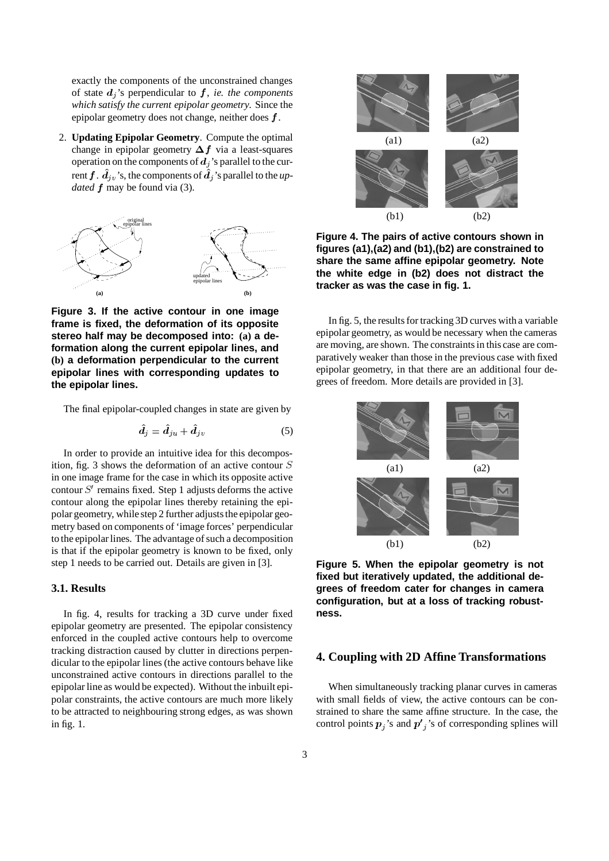exactly the components of the unconstrained changes of state  $d_i$ 's perpendicular to  $f$ , *ie. the components which satisfy the current epipolar geometry*. Since the epipolar geometry does not change, neither does  $f$ .

2. **Updating Epipolar Geometry**. Compute the optimal change in epipolar geometry  $\Delta f$  via a least-squares operation on the components of  $d_i$ 's parallel to the current  $f$ .  $d_{j\nu}$ 's, the components of  $d_j$ 's parallel to the *updated*  $f$  may be found via (3).



**Figure 3. If the active contour in one image frame is fixed, the deformation of its opposite stereo half may be decomposed into: (a) a deformation along the current epipolar lines, and (b) a deformation perpendicular to the current epipolar lines with corresponding updates to the epipolar lines.**

The final epipolar-coupled changes in state are given by

$$
\hat{\bm{d}}_j = \hat{\bm{d}}_{ju} + \hat{\bm{d}}_{jv} \tag{5}
$$

In order to provide an intuitive idea for this decomposition, fig. 3 shows the deformation of an active contour  $S$ in one image frame for the case in which its opposite active contour  $S'$  remains fixed. Step 1 adjusts deforms the active contour along the epipolar lines thereby retaining the epipolar geometry, while step 2 further adjusts the epipolar geometry based on components of 'image forces' perpendicular to the epipolar lines. The advantage of such a decomposition is that if the epipolar geometry is known to be fixed, only step 1 needs to be carried out. Details are given in [3].

#### **3.1. Results**

In fig. 4, results for tracking a 3D curve under fixed epipolar geometry are presented. The epipolar consistency enforced in the coupled active contours help to overcome tracking distraction caused by clutter in directions perpendicular to the epipolar lines (the active contours behave like unconstrained active contours in directions parallel to the epipolar line as would be expected). Without the inbuilt epipolar constraints, the active contours are much more likely to be attracted to neighbouring strong edges, as was shown in fig. 1.



**Figure 4. The pairs of active contours shown in figures (a1),(a2) and (b1),(b2) are constrained to share the same affine epipolar geometry. Note the white edge in (b2) does not distract the tracker as was the case in fig. 1.**

In fig. 5, the results for tracking 3D curves with a variable epipolar geometry, as would be necessary when the cameras are moving, are shown. The constraints in this case are comparatively weaker than those in the previous case with fixed epipolar geometry, in that there are an additional four degrees of freedom. More details are provided in [3].



**Figure 5. When the epipolar geometry is not fixed but iteratively updated, the additional degrees of freedom cater for changes in camera configuration, but at a loss of tracking robustness.**

# **4. Coupling with 2D Affine Transformations**

When simultaneously tracking planar curves in cameras with small fields of view, the active contours can be constrained to share the same affine structure. In the case, the control points  $p_i$ 's and  $p'_i$ 's of corresponding splines will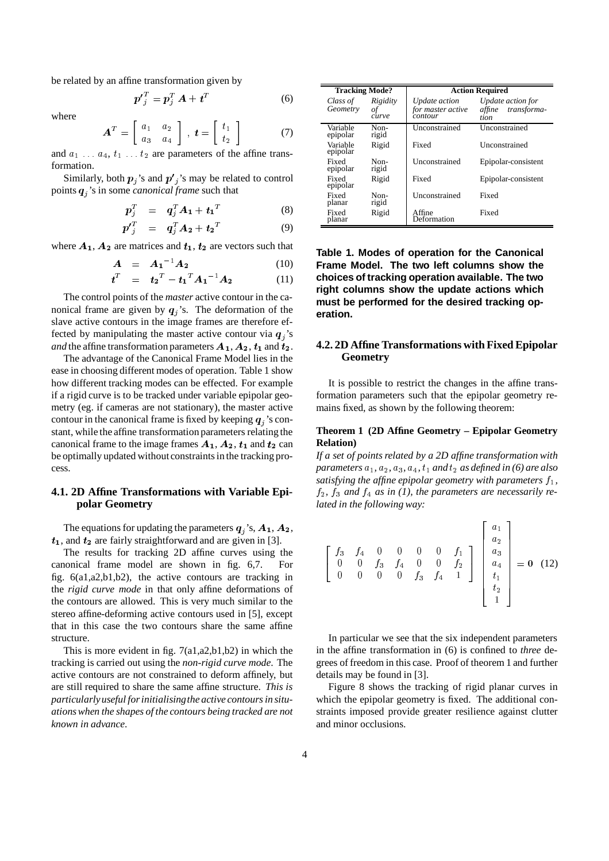be related by an affine transformation given by

$$
\boldsymbol{p'}_j^T = \boldsymbol{p}_j^T \boldsymbol{A} + \boldsymbol{t}^T \tag{6}
$$

where

$$
\mathbf{A}^T = \left[ \begin{array}{cc} a_1 & a_2 \\ a_3 & a_4 \end{array} \right], \ \mathbf{t} = \left[ \begin{array}{c} t_1 \\ t_2 \end{array} \right] \tag{7}
$$

and  $a_1 \ldots a_4$ ,  $t_1 \ldots t_2$  are parameters of the affine transformation.

Similarly, both  $p_i$ 's and  $p'_i$ 's may be related to control points % 's in some *canonical frame* such that

$$
\boldsymbol{p}_j^T = \boldsymbol{q}_j^T \boldsymbol{A}_1 + \boldsymbol{t}_1^T \tag{8}
$$

$$
\boldsymbol{p'}_j^T = \boldsymbol{q}_j^T \boldsymbol{A}_2 + \boldsymbol{t}_2^T \tag{9}
$$

where  $A_1$ ,  $A_2$  are matrices and  $t_1$ ,  $t_2$  are vectors such that

$$
\mathbf{A} = \mathbf{A_1}^{-1} \mathbf{A_2} \tag{10}
$$
\n
$$
\mathbf{A} = \mathbf{A_1}^T \mathbf{A_2} \tag{11}
$$

$$
t^T = t_2{}^T - t_1{}^T A_1{}^{-1} A_2 \qquad (11)
$$

 The control points of the *master* active contour in the canonical frame are given by  $q_i$ 's. The deformation of the slave active contours in the image frames are therefore effected by manipulating the master active contour via  $q_i$ 's *and* the affine transformation parameters  $A_1, A_2, t_1$  and  $t_2$ .  $\qquad \quad \ \ \, 4$ 

The advantage of the Canonical Frame Model lies in the ease in choosing different modes of operation. Table 1 show how different tracking modes can be effected. For example if a rigid curve is to be tracked under variable epipolar geometry (eg. if cameras are not stationary), the master active contour in the canonical frame is fixed by keeping  $q_i$ 's constant, while the affine transformation parameters relating the canonical frame to the image frames  $A_1$ ,  $A_2$ ,  $t_1$  and  $t_2$  can be optimally updated without constraints in the tracking process.

## **4.1. 2D Affine Transformations with Variable Epipolar Geometry**

The equations for updating the parameters  $q_i$ 's,  $A_1$ ,  $A_2$ , 1, and  $t_2$  are fairly straightforward and are given in [3].

The results for tracking 2D affine curves using the canonical frame model are shown in fig. 6,7. For fig. 6(a1,a2,b1,b2), the active contours are tracking in the *rigid curve mode* in that only affine deformations of the contours are allowed. This is very much similar to the stereo affine-deforming active contours used in [5], except that in this case the two contours share the same affine structure.

This is more evident in fig. 7(a1,a2,b1,b2) in which the tracking is carried out using the *non-rigid curve mode*. The active contours are not constrained to deform affinely, but are still required to share the same affine structure. *This is particularlyuseful forinitialisingthe active contoursin situationswhen the shapes of the contours being tracked are not known in advance*.

| <b>Tracking Mode?</b> |                         | <b>Action Required</b>                        |                                                    |
|-----------------------|-------------------------|-----------------------------------------------|----------------------------------------------------|
| Class of<br>Geometry  | Rigidity<br>οf<br>curve | Update action<br>for master active<br>contour | Update action for<br>transforma-<br>affine<br>tion |
| Variable<br>epipolar  | Non-<br>rigid           | Unconstrained                                 | Unconstrained                                      |
| Variable<br>epipolar  | Rigid                   | Fixed                                         | Unconstrained                                      |
| Fixed<br>epipolar     | Non-<br>rigid           | Unconstrained                                 | Epipolar-consistent                                |
| Fixed<br>epipolar     | Rigid                   | Fixed                                         | Epipolar-consistent                                |
| Fixed<br>planar       | Non-<br>rigid           | Unconstrained                                 | Fixed                                              |
| Fixed<br>planar       | Rigid                   | Affine<br>Deformation                         | Fixed                                              |

**Table 1. Modes of operation for the Canonical Frame Model. The two left columns show the choices of tracking operation available. The two right columns show the update actions which must be performed for the desired tracking operation.**

## **4.2. 2D Affine Transformations with Fixed Epipolar Geometry**

It is possible to restrict the changes in the affine transformation parameters such that the epipolar geometry remains fixed, as shown by the following theorem:

#### **Theorem 1 (2D Affine Geometry – Epipolar Geometry Relation)**

*If a set of points related by a 2D affine transformation with*  $$ *satisfying the affine epipolar geometry with parameters ,*  $f_2$ ,  $f_3$  and  $f_4$  as in (1), the parameters are necessarily re*lated in the following way:*

$$
\begin{bmatrix} f_3 & f_4 & 0 & 0 & 0 & 0 & f_1 \\ 0 & 0 & f_3 & f_4 & 0 & 0 & f_2 \\ 0 & 0 & 0 & 0 & f_3 & f_4 & 1 \end{bmatrix} \begin{bmatrix} a_1 \\ a_2 \\ a_3 \\ a_4 \\ t_1 \\ t_2 \\ t_2 \\ 1 \end{bmatrix} = \mathbf{0} \quad (12)
$$

In particular we see that the six independent parameters in the affine transformation in (6) is confined to *three* degrees of freedom in this case. Proof of theorem 1 and further details may be found in [3].

Figure 8 shows the tracking of rigid planar curves in which the epipolar geometry is fixed. The additional constraints imposed provide greater resilience against clutter and minor occlusions.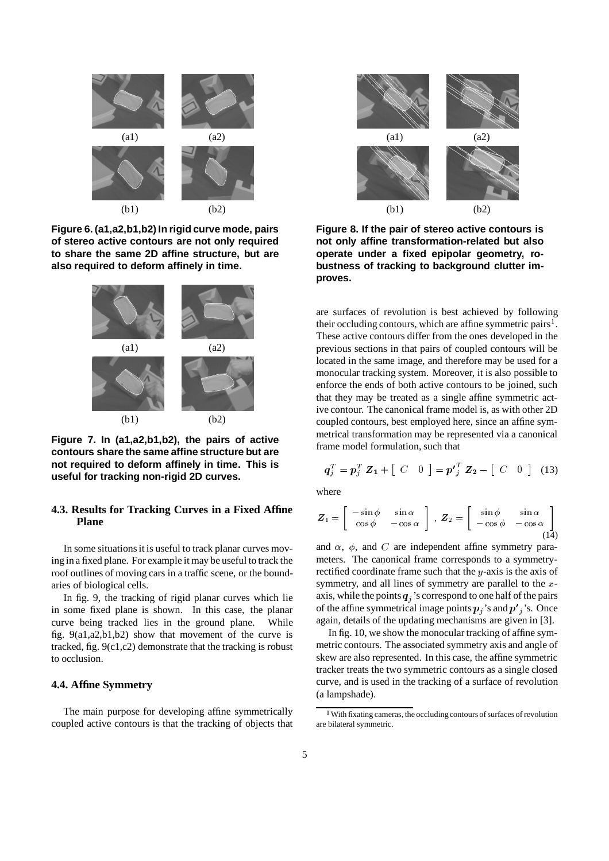

**Figure 6. (a1,a2,b1,b2) In rigid curve mode, pairs of stereo active contours are not only required to share the same 2D affine structure, but are also required to deform affinely in time.**



**Figure 7. In (a1,a2,b1,b2), the pairs of active contours share the same affine structure but are not required to deform affinely in time. This is useful for tracking non-rigid 2D curves.**

# **4.3. Results for Tracking Curves in a Fixed Affine Plane**

In some situations it is useful to track planar curves moving in a fixed plane. For example it may be useful to track the roof outlines of moving cars in a traffic scene, or the boundaries of biological cells.

In fig. 9, the tracking of rigid planar curves which lie in some fixed plane is shown. In this case, the planar curve being tracked lies in the ground plane. While fig. 9(a1,a2,b1,b2) show that movement of the curve is tracked, fig. 9(c1,c2) demonstrate that the tracking is robust to occlusion.

#### **4.4. Affine Symmetry**

The main purpose for developing affine symmetrically coupled active contours is that the tracking of objects that



**Figure 8. If the pair of stereo active contours is not only affine transformation-related but also operate under a fixed epipolar geometry, robustness of tracking to background clutter improves.**

are surfaces of revolution is best achieved by following their occluding contours, which are affine symmetric pairs<sup>1</sup>. These active contours differ from the ones developed in the previous sections in that pairs of coupled contours will be located in the same image, and therefore may be used for a monocular tracking system. Moreover, it is also possible to enforce the ends of both active contours to be joined, such that they may be treated as a single affine symmetric active contour. The canonical frame model is, as with other 2D coupled contours, best employed here, since an affine symmetrical transformation may be represented via a canonical frame model formulation, such that

$$
\boldsymbol{q}_j^T = \boldsymbol{p}_j^T \; \boldsymbol{Z}_1 + \left[ \begin{array}{cc} C & 0 \end{array} \right] = \boldsymbol{p'}_j^T \; \boldsymbol{Z}_2 - \left[ \begin{array}{cc} C & 0 \end{array} \right] \quad (13)
$$

where

$$
Z_1 = \begin{bmatrix} -\sin\phi & \sin\alpha \\ \cos\phi & -\cos\alpha \end{bmatrix}, Z_2 = \begin{bmatrix} \sin\phi & \sin\alpha \\ -\cos\phi & -\cos\alpha \end{bmatrix}
$$
(14)

and  $\alpha$ ,  $\phi$ , and C are independent affine symmetry parameters. The canonical frame corresponds to a symmetryrectified coordinate frame such that the  $y$ -axis is the axis of symmetry, and all lines of symmetry are parallel to the  $x$ axis, while the points  $q_i$ 's correspond to one half of the pairs of the affine symmetrical image points  $p_i$ 's and  $p'_i$ 's. Once again, details of the updating mechanisms are given in [3].

In fig. 10, we show the monocular tracking of affine symmetric contours. The associated symmetry axis and angle of skew are also represented. In this case, the affine symmetric tracker treats the two symmetric contours as a single closed curve, and is used in the tracking of a surface of revolution (a lampshade).

<sup>&</sup>lt;sup>1</sup> With fixating cameras, the occluding contours of surfaces of revolution are bilateral symmetric.